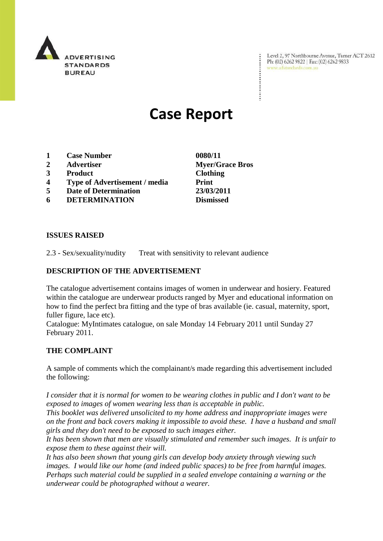

Level 2, 97 Northbourne Avenue, Turner ACT 2612 Ph: (02) 6262 9822 | Fax: (02) 6262 9833 www.adstandards.com.au

# **Case Report**

- **1 Case Number 0080/11**
- **2 Advertiser Myer/Grace Bros**
- **3 Product Clothing**
- **4 Type of Advertisement / media Print**
- **5 Date of Determination 23/03/2011**
- **6 DETERMINATION Dismissed**

**ISSUES RAISED**

2.3 - Sex/sexuality/nudity Treat with sensitivity to relevant audience

## **DESCRIPTION OF THE ADVERTISEMENT**

The catalogue advertisement contains images of women in underwear and hosiery. Featured within the catalogue are underwear products ranged by Myer and educational information on how to find the perfect bra fitting and the type of bras available (ie. casual, maternity, sport, fuller figure, lace etc).

Catalogue: MyIntimates catalogue, on sale Monday 14 February 2011 until Sunday 27 February 2011.

#### **THE COMPLAINT**

A sample of comments which the complainant/s made regarding this advertisement included the following:

*I consider that it is normal for women to be wearing clothes in public and I don't want to be exposed to images of women wearing less than is acceptable in public.* 

*This booklet was delivered unsolicited to my home address and inappropriate images were on the front and back covers making it impossible to avoid these. I have a husband and small girls and they don't need to be exposed to such images either.*

*It has been shown that men are visually stimulated and remember such images. It is unfair to expose them to these against their will.*

*It has also been shown that young girls can develop body anxiety through viewing such images. I would like our home (and indeed public spaces) to be free from harmful images. Perhaps such material could be supplied in a sealed envelope containing a warning or the underwear could be photographed without a wearer.*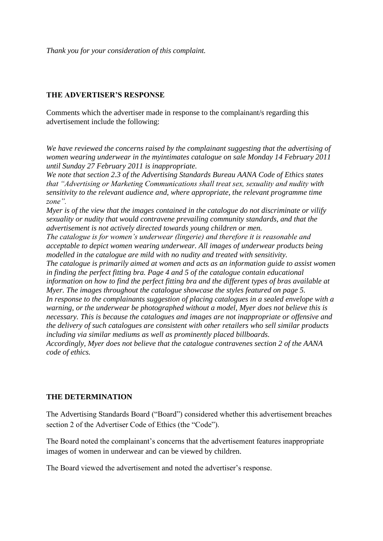*Thank you for your consideration of this complaint.*

### **THE ADVERTISER'S RESPONSE**

Comments which the advertiser made in response to the complainant/s regarding this advertisement include the following:

*We have reviewed the concerns raised by the complainant suggesting that the advertising of women wearing underwear in the myintimates catalogue on sale Monday 14 February 2011 until Sunday 27 February 2011 is inappropriate.*

*We note that section 2.3 of the Advertising Standards Bureau AANA Code of Ethics states that "Advertising or Marketing Communications shall treat sex, sexuality and nudity with sensitivity to the relevant audience and, where appropriate, the relevant programme time zone".*

*Myer is of the view that the images contained in the catalogue do not discriminate or vilify sexuality or nudity that would contravene prevailing community standards, and that the advertisement is not actively directed towards young children or men.* 

*The catalogue is for women's underwear (lingerie) and therefore it is reasonable and acceptable to depict women wearing underwear. All images of underwear products being modelled in the catalogue are mild with no nudity and treated with sensitivity.*

*The catalogue is primarily aimed at women and acts as an information guide to assist women in finding the perfect fitting bra. Page 4 and 5 of the catalogue contain educational information on how to find the perfect fitting bra and the different types of bras available at Myer. The images throughout the catalogue showcase the styles featured on page 5. In response to the complainants suggestion of placing catalogues in a sealed envelope with a warning, or the underwear be photographed without a model, Myer does not believe this is necessary. This is because the catalogues and images are not inappropriate or offensive and the delivery of such catalogues are consistent with other retailers who sell similar products including via similar mediums as well as prominently placed billboards. Accordingly, Myer does not believe that the catalogue contravenes section 2 of the AANA code of ethics.*

## **THE DETERMINATION**

The Advertising Standards Board ("Board") considered whether this advertisement breaches section 2 of the Advertiser Code of Ethics (the "Code").

The Board noted the complainant's concerns that the advertisement features inappropriate images of women in underwear and can be viewed by children.

The Board viewed the advertisement and noted the advertiser's response.